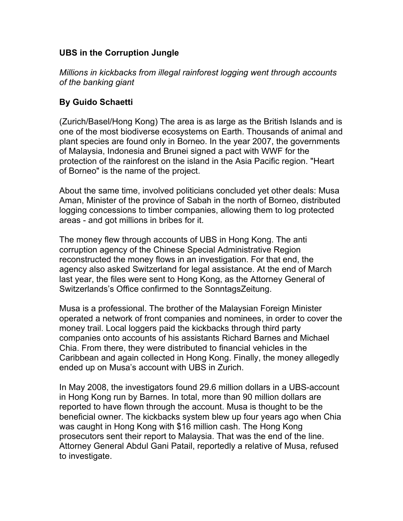## **UBS in the Corruption Jungle**

*Millions in kickbacks from illegal rainforest logging went through accounts of the banking giant*

## **By Guido Schaetti**

(Zurich/Basel/Hong Kong) The area is as large as the British Islands and is one of the most biodiverse ecosystems on Earth. Thousands of animal and plant species are found only in Borneo. In the year 2007, the governments of Malaysia, Indonesia and Brunei signed a pact with WWF for the protection of the rainforest on the island in the Asia Pacific region. "Heart of Borneo" is the name of the project.

About the same time, involved politicians concluded yet other deals: Musa Aman, Minister of the province of Sabah in the north of Borneo, distributed logging concessions to timber companies, allowing them to log protected areas - and got millions in bribes for it.

The money flew through accounts of UBS in Hong Kong. The anti corruption agency of the Chinese Special Administrative Region reconstructed the money flows in an investigation. For that end, the agency also asked Switzerland for legal assistance. At the end of March last year, the files were sent to Hong Kong, as the Attorney General of Switzerlands's Office confirmed to the SonntagsZeitung.

Musa is a professional. The brother of the Malaysian Foreign Minister operated a network of front companies and nominees, in order to cover the money trail. Local loggers paid the kickbacks through third party companies onto accounts of his assistants Richard Barnes and Michael Chia. From there, they were distributed to financial vehicles in the Caribbean and again collected in Hong Kong. Finally, the money allegedly ended up on Musa's account with UBS in Zurich.

In May 2008, the investigators found 29.6 million dollars in a UBS-account in Hong Kong run by Barnes. In total, more than 90 million dollars are reported to have flown through the account. Musa is thought to be the beneficial owner. The kickbacks system blew up four years ago when Chia was caught in Hong Kong with \$16 million cash. The Hong Kong prosecutors sent their report to Malaysia. That was the end of the line. Attorney General Abdul Gani Patail, reportedly a relative of Musa, refused to investigate.